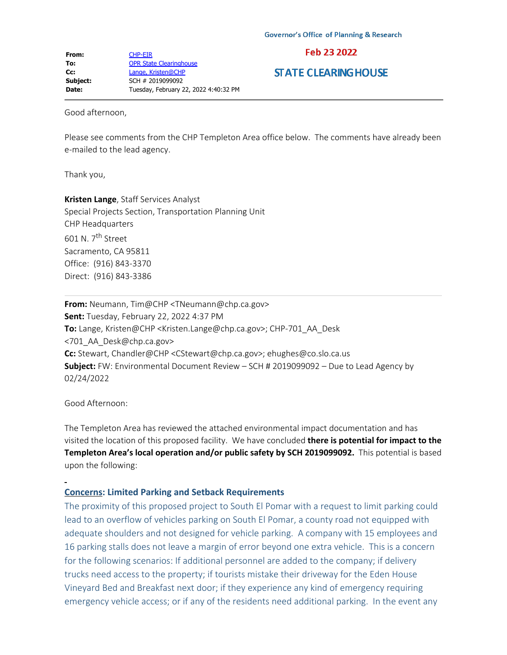## Feb 23 2022

## **STATE CLEARING HOUSE**

Good afternoon,

Please see comments from the CHP Templeton Area office below. The comments have already been e-mailed to the lead agency.

Thank you,

**Kristen Lange**, Staff Services Analyst Special Projects Section, Transportation Planning Unit CHP Headquarters 601 N. 7th Street Sacramento, CA 95811 Office: (916) 843-3370 Direct: (916) 843-3386

**From:** Neumann, Tim@CHP <TNeumann@chp.ca.gov> **Sent:** Tuesday, February 22, 2022 4:37 PM **To:** Lange, Kristen@CHP <Kristen.Lange@chp.ca.gov>; CHP-701\_AA\_Desk <701\_AA\_Desk@chp.ca.gov> **Cc:** Stewart, Chandler@CHP <CStewart@chp.ca.gov>; ehughes@co.slo.ca.us **Subject:** FW: Environmental Document Review – SCH # 2019099092 – Due to Lead Agency by 02/24/2022

Good Afternoon:

The Templeton Area has reviewed the attached environmental impact documentation and has visited the location of this proposed facility. We have concluded **there is potential for impact to the Templeton Area's local operation and/or public safety by SCH 2019099092.** This potential is based upon the following:

## **Concerns: Limited Parking and Setback Requirements**

The proximity of this proposed project to South El Pomar with a request to limit parking could lead to an overflow of vehicles parking on South El Pomar, a county road not equipped with adequate shoulders and not designed for vehicle parking. A company with 15 employees and 16 parking stalls does not leave a margin of error beyond one extra vehicle. This is a concern for the following scenarios: If additional personnel are added to the company; if delivery trucks need access to the property; if tourists mistake their driveway for the Eden House Vineyard Bed and Breakfast next door; if they experience any kind of emergency requiring emergency vehicle access; or if any of the residents need additional parking. In the event any